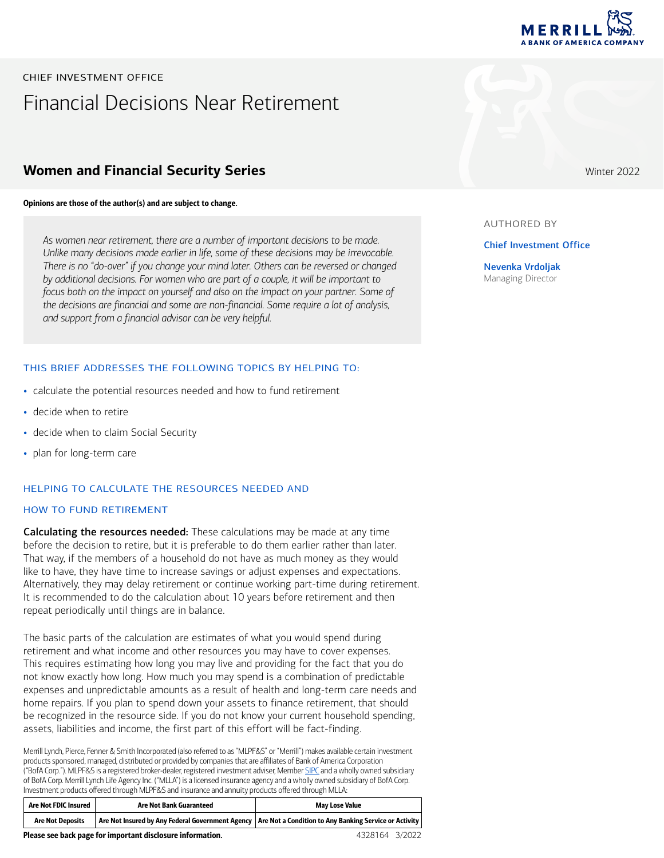

# Financial Decisions Near Retirement CHIEF INVESTMENT OFFICE

# **Women and Financial Security Series**

#### Opinions are those of the author(s) and are subject to change.

*As women near retirement, there are a number of important decisions to be made. Unlike many decisions made earlier in life, some of these decisions may be irrevocable. There is no "do-over" if you change your mind later. Others can be reversed or changed by additional decisions. For women who are part of a couple, it will be important to*  focus both on the impact on yourself and also on the impact on your partner. Some of *the decisions are financial and some are non-financial. Some require a lot of analysis, and support from a financial advisor can be very helpful.*

#### THIS BRIEF ADDRESSES THE FOLLOWING TOPICS BY HELPING TO:

- calculate the potential resources needed and how to fund retirement
- decide when to retire
- decide when to claim Social Security
- plan for long-term care

#### HELPING TO CALCULATE THE RESOURCES NEEDED AND

#### HOW TO FUND RETIREMENT

Calculating the resources needed: These calculations may be made at any time before the decision to retire, but it is preferable to do them earlier rather than later. That way, if the members of a household do not have as much money as they would like to have, they have time to increase savings or adjust expenses and expectations. Alternatively, they may delay retirement or continue working part-time during retirement. It is recommended to do the calculation about 10 years before retirement and then repeat periodically until things are in balance.

The basic parts of the calculation are estimates of what you would spend during retirement and what income and other resources you may have to cover expenses. This requires estimating how long you may live and providing for the fact that you do not know exactly how long. How much you may spend is a combination of predictable expenses and unpredictable amounts as a result of health and long-term care needs and home repairs. If you plan to spend down your assets to finance retirement, that should be recognized in the resource side. If you do not know your current household spending, assets, liabilities and income, the first part of this effort will be fact-finding.

Merrill Lynch, Pierce, Fenner & Smith Incorporated (also referred to as "MLPF&S" or "Merrill") makes available certain investment products sponsored, managed, distributed or provided by companies that are affiliates of Bank of America Corporation ("BofA Corp."). MLPF&S is a registered broker-dealer, registered investment adviser, Member [SIPC](http://www.sipc.org/) and a wholly owned subsidiary of BofA Corp. Merrill Lynch Life Agency Inc. ("MLLA") is a licensed insurance agency and a wholly owned subsidiary of BofA Corp. Investment products offered through MLPF&S and insurance and annuity products offered through MLLA:

| Are Not FDIC Insured    | <b>Are Not Bank Guaranteed</b>                             | <b>May Lose Value</b>                                                                                     |  |
|-------------------------|------------------------------------------------------------|-----------------------------------------------------------------------------------------------------------|--|
| <b>Are Not Deposits</b> |                                                            | Are Not Insured by Any Federal Government Agency   Are Not a Condition to Any Banking Service or Activity |  |
|                         | Please see back page for important disclosure information. | 4328164 3/2022                                                                                            |  |

Winter 2022

#### AUTHORED BY

Chief Investment Office

Nevenka Vrdoljak Managing Director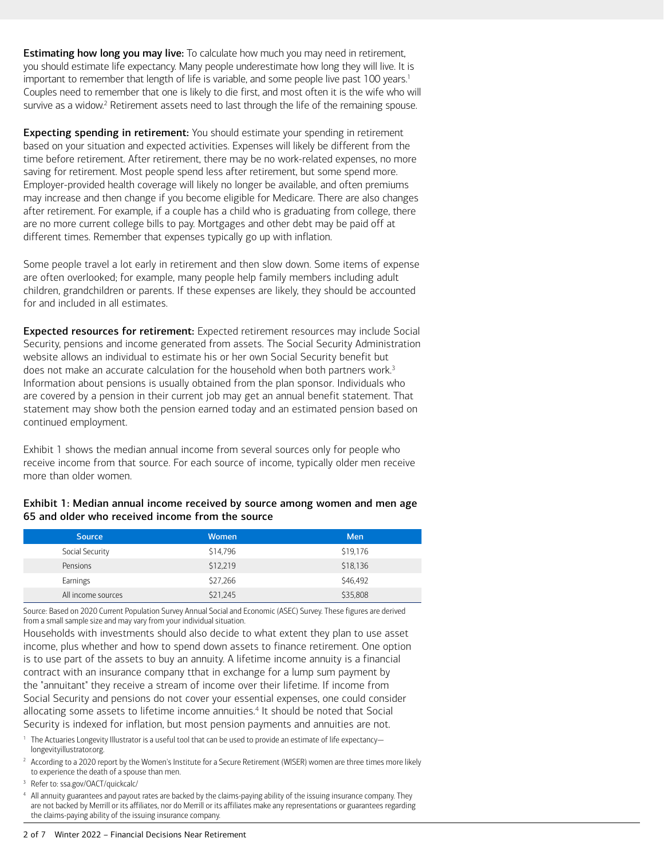<span id="page-1-1"></span>**Estimating how long you may live:** To calculate how much you may need in retirement, you should estimate life expectancy. Many people underestimate how long they will live. It is important to remember that length of life is variable, and some people live past [1](#page-1-0)00 years.<sup>1</sup> Couples need to remember that one is likely to die first, and most often it is the wife who will survive as a widow.<sup>2</sup> Retirement assets need to last through the life of the remaining spouse.

<span id="page-1-3"></span>Expecting spending in retirement: You should estimate your spending in retirement based on your situation and expected activities. Expenses will likely be different from the time before retirement. After retirement, there may be no work-related expenses, no more saving for retirement. Most people spend less after retirement, but some spend more. Employer-provided health coverage will likely no longer be available, and often premiums may increase and then change if you become eligible for Medicare. There are also changes after retirement. For example, if a couple has a child who is graduating from college, there are no more current college bills to pay. Mortgages and other debt may be paid off at different times. Remember that expenses typically go up with inflation.

Some people travel a lot early in retirement and then slow down. Some items of expense are often overlooked; for example, many people help family members including adult children, grandchildren or parents. If these expenses are likely, they should be accounted for and included in all estimates.

<span id="page-1-5"></span>Expected resources for retirement: Expected retirement resources may include Social Security, pensions and income generated from assets. The Social Security Administration website allows an individual to estimate his or her own Social Security benefit but does not make an accurate calculation for the household when both partners work.<sup>3</sup> Information about pensions is usually obtained from the plan sponsor. Individuals who are covered by a pension in their current job may get an annual benefit statement. That statement may show both the pension earned today and an estimated pension based on continued employment.

Exhibit 1 shows the median annual income from several sources only for people who receive income from that source. For each source of income, typically older men receive more than older women.

## Exhibit 1: Median annual income received by source among women and men age 65 and older who received income from the source

| <b>Source</b>      | <b>Women</b> | Men      |
|--------------------|--------------|----------|
| Social Security    | \$14,796     | \$19,176 |
| Pensions           | \$12,219     | \$18,136 |
| Earnings           | \$27,266     | \$46,492 |
| All income sources | \$21,245     | \$35,808 |

Source: Based on 2020 Current Population Survey Annual Social and Economic (ASEC) Survey. These figures are derived from a small sample size and may vary from your individual situation.

Households with investments should also decide to what extent they plan to use asset income, plus whether and how to spend down assets to finance retirement. One option is to use part of the assets to buy an annuity. A lifetime income annuity is a financial contract with an insurance company tthat in exchange for a lump sum payment by the "annuitant" they receive a stream of income over their lifetime. If income from Social Security and pensions do not cover your essential expenses, one could consider allocating some assets to lifetime income annuities.<sup>[4](#page-1-6)</sup> It should be noted that Social Security is indexed for inflation, but most pension payments and annuities are not.

- <span id="page-1-7"></span><span id="page-1-0"></span><sup>[1](#page-1-1)</sup> The Actuaries Longevity Illustrator is a useful tool that can be used to provide an estimate of life expectancy[longevityillustrator.org](http://longevityillustrator.org).
- <span id="page-1-2"></span> $2$  According to a 2020 report by the Women's Institute for a Secure Retirement (WISER) women are three times more likely to experience the death of a spouse than men.
- <span id="page-1-4"></span>[3](#page-1-5) Refer to: [ssa.gov/OACT/quickcalc/](http://ssa.gov/OACT/quickcalc/)

<span id="page-1-6"></span>[4](#page-1-7) All annuity guarantees and payout rates are backed by the claims-paying ability of the issuing insurance company. They are not backed by Merrill or its affiliates, nor do Merrill or its affiliates make any representations or guarantees regarding the claims-paying ability of the issuing insurance company.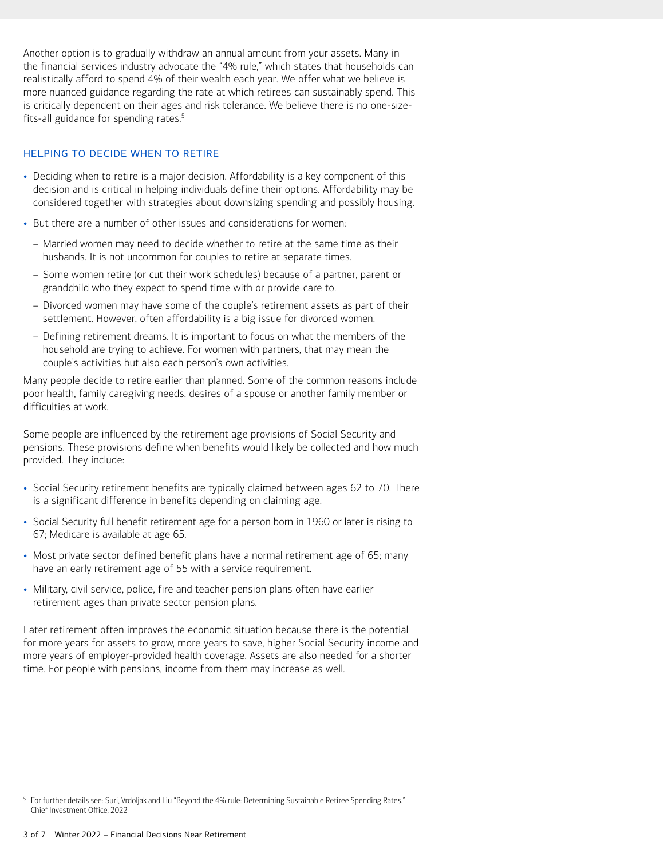Another option is to gradually withdraw an annual amount from your assets. Many in the financial services industry advocate the "4% rule," which states that households can realistically afford to spend 4% of their wealth each year. We offer what we believe is more nuanced guidance regarding the rate at which retirees can sustainably spend. This is critically dependent on their ages and risk tolerance. We believe there is no one-sizefits-all guidance for spending rates.<sup>5</sup>

#### <span id="page-2-1"></span>HELPING TO DECIDE WHEN TO RETIRE

- Deciding when to retire is a major decision. Affordability is a key component of this decision and is critical in helping individuals define their options. Affordability may be considered together with strategies about downsizing spending and possibly housing.
- But there are a number of other issues and considerations for women:
	- Married women may need to decide whether to retire at the same time as their husbands. It is not uncommon for couples to retire at separate times.
	- Some women retire (or cut their work schedules) because of a partner, parent or grandchild who they expect to spend time with or provide care to.
	- Divorced women may have some of the couple's retirement assets as part of their settlement. However, often affordability is a big issue for divorced women.
	- Defining retirement dreams. It is important to focus on what the members of the household are trying to achieve. For women with partners, that may mean the couple's activities but also each person's own activities.

Many people decide to retire earlier than planned. Some of the common reasons include poor health, family caregiving needs, desires of a spouse or another family member or difficulties at work.

Some people are influenced by the retirement age provisions of Social Security and pensions. These provisions define when benefits would likely be collected and how much provided. They include:

- Social Security retirement benefits are typically claimed between ages 62 to 70. There is a significant difference in benefits depending on claiming age.
- Social Security full benefit retirement age for a person born in 1960 or later is rising to 67; Medicare is available at age 65.
- Most private sector defined benefit plans have a normal retirement age of 65; many have an early retirement age of 55 with a service requirement.
- Military, civil service, police, fire and teacher pension plans often have earlier retirement ages than private sector pension plans.

Later retirement often improves the economic situation because there is the potential for more years for assets to grow, more years to save, higher Social Security income and more years of employer-provided health coverage. Assets are also needed for a shorter time. For people with pensions, income from them may increase as well.

<span id="page-2-0"></span><sup>&</sup>lt;sup>[5](#page-2-1)</sup> For further details see: Suri, Vrdoljak and Liu "Beyond the 4% rule: Determining Sustainable Retiree Spending Rates." Chief Investment Office, 2022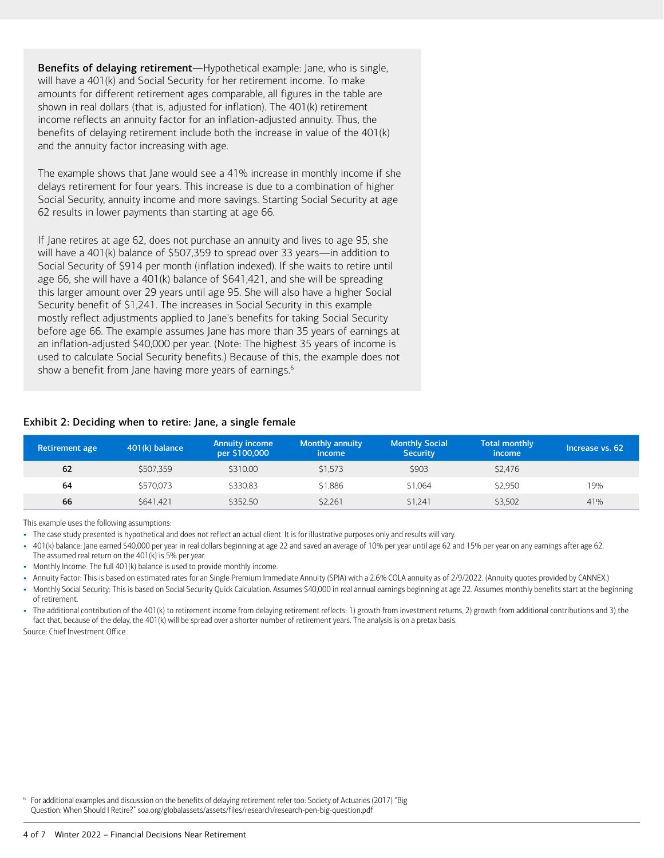Benefits of delaying retirement—Hypothetical example: Jane, who is single, will have a 401(k) and Social Security for her retirement income. To make amounts for different retirement ages comparable, all figures in the table are shown in real dollars (that is, adjusted for inflation). The 401(k) retirement income reflects an annuity factor for an inflation-adjusted annuity. Thus, the benefits of delaying retirement include both the increase in value of the 401(k) and the annuity factor increasing with age.

The example shows that Jane would see a 41% increase in monthly income if she delays retirement for four years. This increase is due to a combination of higher Social Security, annuity income and more savings. Starting Social Security at age 62 results in lower payments than starting at age 66.

If Jane retires at age 62, does not purchase an annuity and lives to age 95, she will have a 401(k) balance of \$507,359 to spread over 33 years—in addition to Social Security of \$914 per month (inflation indexed). If she waits to retire until age 66, she will have a 401(k) balance of \$641,421, and she will be spreading this larger amount over 29 years until age 95. She will also have a higher Social Security benefit of \$1,241. The increases in Social Security in this example mostly reflect adjustments applied to Jane's benefits for taking Social Security before age 66. The example assumes Jane has more than 35 years of earnings at an inflation-adjusted \$40,000 per year. (Note: The highest 35 years of income is used to calculate Social Security benefits.) Because of this, the example does not show a benefit from Jane having more years of earnings.<sup>[6](#page-3-0)</sup>

## <span id="page-3-1"></span>Exhibit 2: Deciding when to retire: Jane, a single female

| Retirement age | 401(k) balance | <b>Annuity income</b><br>per \$100,000 | <b>Monthly annuity</b><br><i>income</i> | <b>Monthly Social</b><br><b>Security</b> | <b>Total monthly</b><br><i>income</i> | Increase vs. 62 |
|----------------|----------------|----------------------------------------|-----------------------------------------|------------------------------------------|---------------------------------------|-----------------|
| 62             | \$507.359      | \$310.00                               | \$1.573                                 | \$903                                    | \$2.476                               |                 |
| 64             | \$570.073      | \$330.83                               | \$1,886                                 | \$1.064                                  | \$2.950                               | 19%             |
| 66             | \$641.421      | \$352.50                               | \$2.261                                 | \$1.241                                  | \$3.502                               | 41%             |

This example uses the following assumptions:

- The case study presented is hypothetical and does not reflect an actual client. It is for illustrative purposes only and results will vary.
- 401(k) balance: Jane earned \$40,000 per year in real dollars beginning at age 22 and saved an average of 10% per year until age 62 and 15% per year on any earnings after age 62.
- The assumed real return on the 401(k) is 5% per year.
- Monthly Income: The full 401(k) balance is used to provide monthly income.
- Annuity Factor: This is based on estimated rates for an Single Premium Immediate Annuity (SPIA) with a 2.6% COLA annuity as of 2/9/2022. (Annuity quotes provided by CANNEX.)
- Monthly Social Security: This is based on Social Security Quick Calculation. Assumes \$40,000 in real annual earnings beginning at age 22. Assumes monthly benefits start at the beginning of retirement.

• The additional contribution of the 401(k) to retirement income from delaying retirement reflects: 1) growth from investment returns, 2) growth from additional contributions and 3) the fact that, because of the delay, the 401(k) will be spread over a shorter number of retirement years. The analysis is on a pretax basis.

Source: Chief Investment Office

<span id="page-3-0"></span><sup>[6](#page-3-1)</sup> For additional examples and discussion on the benefits of delaying retirement refer too: Society of Actuaries (2017) "Big Question: When Should I Retire?" [soa.org/globalassets/assets/files/research/research-pen-big-question.pdf](http://soa.org/globalassets/assets/files/research/research-pen-big-question.pdf)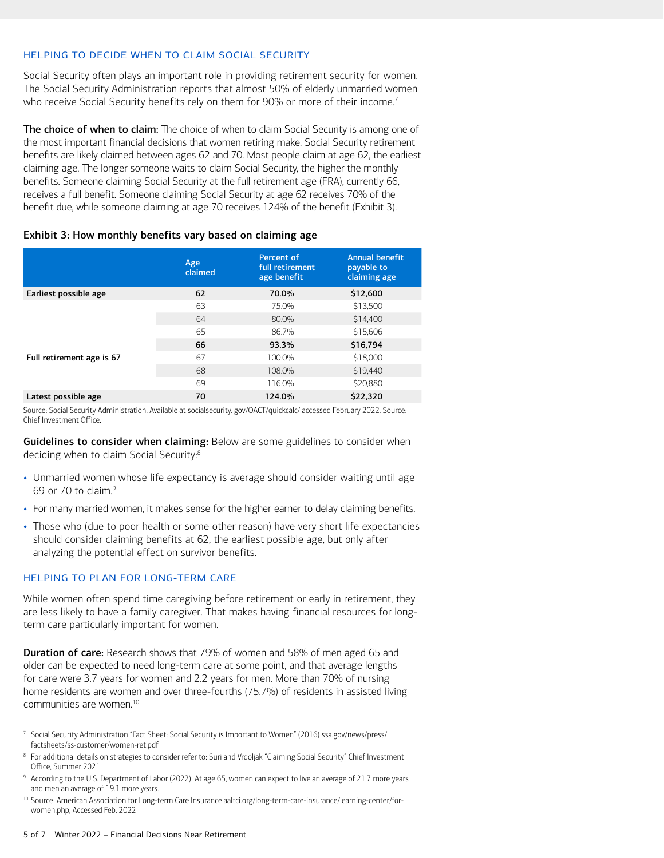#### HELPING TO DECIDE WHEN TO CLAIM SOCIAL SECURITY

<span id="page-4-1"></span>Social Security often plays an important role in providing retirement security for women. The Social Security Administration reports that almost 50% of elderly unmarried women who receive Social Security benefits rely on them for 90% or more of their income.<sup>7</sup>

The choice of when to claim: The choice of when to claim Social Security is among one of the most important financial decisions that women retiring make. Social Security retirement benefits are likely claimed between ages 62 and 70. Most people claim at age 62, the earliest claiming age. The longer someone waits to claim Social Security, the higher the monthly benefits. Someone claiming Social Security at the full retirement age (FRA), currently 66, receives a full benefit. Someone claiming Social Security at age 62 receives 70% of the benefit due, while someone claiming at age 70 receives 124% of the benefit (Exhibit 3).

## Exhibit 3: How monthly benefits vary based on claiming age

|                           | Age<br>claimed | Percent of<br>full retirement<br>age benefit | <b>Annual benefit</b><br>payable to<br>claiming age |
|---------------------------|----------------|----------------------------------------------|-----------------------------------------------------|
| Earliest possible age     | 62             | 70.0%                                        | \$12,600                                            |
|                           | 63             | 75.0%                                        | \$13,500                                            |
|                           | 64             | 80.0%                                        | \$14,400                                            |
|                           | 65             | 86.7%                                        | \$15,606                                            |
|                           | 66             | 93.3%                                        | \$16,794                                            |
| Full retirement age is 67 | 67             | 100.0%                                       | \$18,000                                            |
|                           | 68             | 108.0%                                       | \$19,440                                            |
|                           | 69             | 116.0%                                       | \$20,880                                            |
| Latest possible age       | 70             | 124.0%                                       | \$22,320                                            |

Source: Social Security Administration. Available at [socialsecurity. gov/OACT/quickcalc/](http://socialsecurity.gov/OACT/quickcalc/) accessed February 2022. Source: Chief Investment Office.

<span id="page-4-3"></span>Guidelines to consider when claiming: Below are some guidelines to consider when deciding when to claim Social Security[:8](#page-4-2)

- <span id="page-4-5"></span>• Unmarried women whose life expectancy is average should consider waiting until age 69 or 70 to claim.[9](#page-4-4)
- For many married women, it makes sense for the higher earner to delay claiming benefits.
- Those who (due to poor health or some other reason) have very short life expectancies should consider claiming benefits at 62, the earliest possible age, but only after analyzing the potential effect on survivor benefits.

## HELPING TO PLAN FOR LONG-TERM CARE

While women often spend time caregiving before retirement or early in retirement, they are less likely to have a family caregiver. That makes having financial resources for longterm care particularly important for women.

**Duration of care:** Research shows that 79% of women and 58% of men aged 65 and older can be expected to need long-term care at some point, and that average lengths for care were 3.7 years for women and 2.2 years for men. More than 70% of nursing home residents are women and over three-fourths (75.7%) of residents in assisted living communities are women[.10](#page-4-6)

- <span id="page-4-7"></span><span id="page-4-0"></span>[7](#page-4-1) [Social Security Administration "Fact Sheet: Social Security is Important to Women" \(2016\) ssa.gov/news/press/](http://ssa.gov/news/press/factsheets/ss-customer/women-ret.pdf) factsheets/ss-customer/women-ret.pdf
- <span id="page-4-2"></span><sup>[8](#page-4-3)</sup> For additional details on strategies to consider refer to: Suri and Vrdoljak "Claiming Social Security" Chief Investment Office, Summer 2021
- <span id="page-4-4"></span>[9](#page-4-5) According to the U.S. Department of Labor (2022) At age 65, women can expect to live an average of 21.7 more years and men an average of 19.1 more years.
- <span id="page-4-6"></span><sup>[10](#page-4-7)</sup> [Source: American Association for Long-term Care Insurance aaltci.org/long-term-care-insurance/learning-center/for](http://aaltci.org/long-term-care-insurance/learning-center/for-women.php)women.php, Accessed Feb. 2022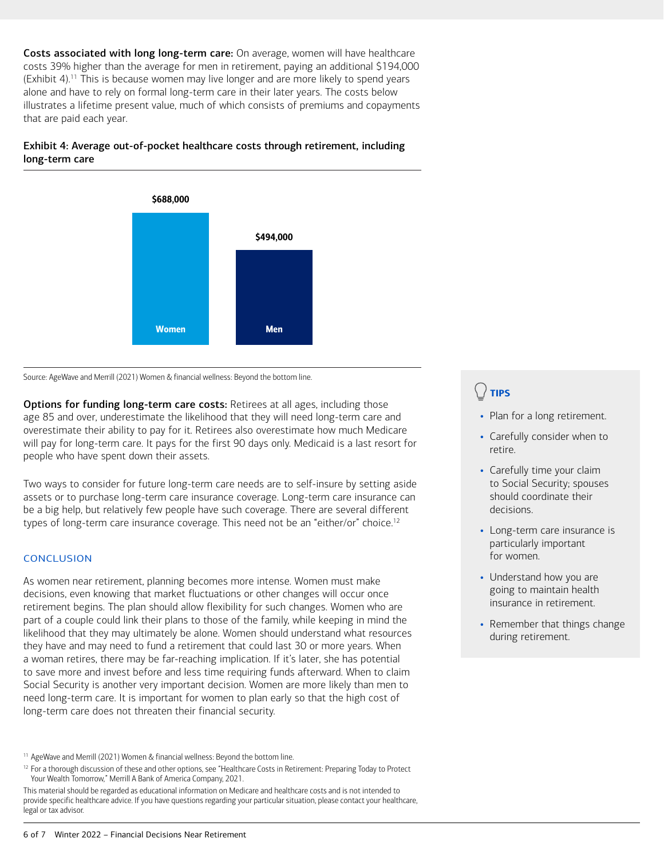<span id="page-5-1"></span>Costs associated with long long-term care: On average, women will have healthcare costs 39% higher than the average for men in retirement, paying an additional \$194,000 (Exhibit 4).[11](#page-5-0) This is because women may live longer and are more likely to spend years alone and have to rely on formal long-term care in their later years. The costs below illustrates a lifetime present value, much of which consists of premiums and copayments that are paid each year.

## Exhibit 4: Average out-of-pocket healthcare costs through retirement, including long-term care



Source: AgeWave and Merrill (2021) Women & financial wellness: Beyond the bottom line.

Options for funding long-term care costs: Retirees at all ages, including those age 85 and over, underestimate the likelihood that they will need long-term care and overestimate their ability to pay for it. Retirees also overestimate how much Medicare will pay for long-term care. It pays for the first 90 days only. Medicaid is a last resort for people who have spent down their assets.

Two ways to consider for future long-term care needs are to self-insure by setting aside assets or to purchase long-term care insurance coverage. Long-term care insurance can be a big help, but relatively few people have such coverage. There are several different types of long-term care insurance coverage. This need not be an "either/or" choice.<sup>[12](#page-5-2)</sup>

## **CONCLUSION**

As women near retirement, planning becomes more intense. Women must make decisions, even knowing that market fluctuations or other changes will occur once retirement begins. The plan should allow flexibility for such changes. Women who are part of a couple could link their plans to those of the family, while keeping in mind the likelihood that they may ultimately be alone. Women should understand what resources they have and may need to fund a retirement that could last 30 or more years. When a woman retires, there may be far-reaching implication. If it's later, she has potential to save more and invest before and less time requiring funds afterward. When to claim Social Security is another very important decision. Women are more likely than men to need long-term care. It is important for women to plan early so that the high cost of long-term care does not threaten their financial security.

<span id="page-5-0"></span><sup>[11](#page-5-1)</sup> AgeWave and Merrill (2021) Women & financial wellness: Beyond the bottom line.

<span id="page-5-2"></span><sup>[12](#page-5-3)</sup> For a thorough discussion of these and other options, see "Healthcare Costs in Retirement: Preparing Today to Protect Your Wealth Tomorrow," Merrill A Bank of America Company, 2021.

This material should be regarded as educational information on Medicare and healthcare costs and is not intended to provide specific healthcare advice. If you have questions regarding your particular situation, please contact your healthcare, legal or tax advisor.

# TIPS

- Plan for a long retirement.
- Carefully consider when to retire.
- Carefully time your claim to Social Security; spouses should coordinate their decisions.
- <span id="page-5-3"></span>• Long-term care insurance is particularly important for women.
- Understand how you are going to maintain health insurance in retirement.
- Remember that things change during retirement.